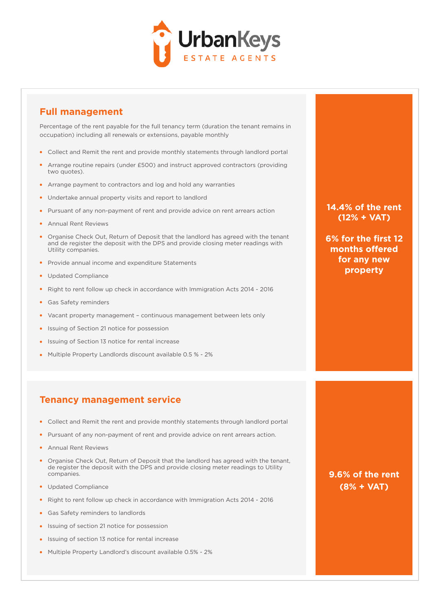

### **Full management**

Percentage of the rent payable for the full tenancy term (duration the tenant remains in occupation) including all renewals or extensions, payable monthly

- Collect and Remit the rent and provide monthly statements through landlord portal
- Arrange routine repairs (under £500) and instruct approved contractors (providing two quotes).
- Arrange payment to contractors and log and hold any warranties
- Undertake annual property visits and report to landlord
- Pursuant of any non-payment of rent and provide advice on rent arrears action
- Annual Rent Reviews
- Organise Check Out, Return of Deposit that the landlord has agreed with the tenant and de register the deposit with the DPS and provide closing meter readings with Utility companies.
- Provide annual income and expenditure Statements
- Updated Compliance
- Right to rent follow up check in accordance with Immigration Acts 2014 2016
- Gas Safety reminders
- Vacant property management continuous management between lets only
- Issuing of Section 21 notice for possession
- Issuing of Section 13 notice for rental increase
- Multiple Property Landlords discount available 0.5 % 2%

### **Tenancy management service**

- Collect and Remit the rent and provide monthly statements through landlord portal
- Pursuant of any non-payment of rent and provide advice on rent arrears action.
- Annual Rent Reviews
- Organise Check Out, Return of Deposit that the landlord has agreed with the tenant, de register the deposit with the DPS and provide closing meter readings to Utility companies.
- Updated Compliance
- Right to rent follow up check in accordance with Immigration Acts 2014 2016
- Gas Safety reminders to landlords
- **Issuing of section 21 notice for possession**
- Issuing of section 13 notice for rental increase
- Multiple Property Landlord's discount available 0.5% 2%

**14.4% of the rent (12% + VAT)**

**6% for the first 12**  months offered **for any new property** 

**9.6% of the rent (8% + VAT)**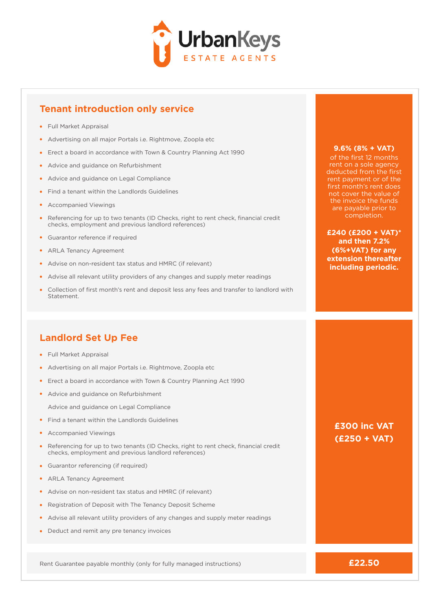

## **Tenant introduction only service**

- Full Market Appraisal
- Advertising on all major Portals i.e. Rightmove, Zoopla etc
- Erect a board in accordance with Town & Country Planning Act 1990
- Advice and guidance on Refurbishment
- Advice and guidance on Legal Compliance
- Find a tenant within the Landlords Guidelines
- Accompanied Viewings
- Referencing for up to two tenants (ID Checks, right to rent check, financial credit checks, employment and previous landlord references)
- Guarantor reference if required
- ARLA Tenancy Agreement
- Advise on non-resident tax status and HMRC (if relevant)
- Advise all relevant utility providers of any changes and supply meter readings
- Collection of first month's rent and deposit less any fees and transfer to landlord with Statement.

### **Landlord Set Up Fee**

- **•** Full Market Appraisal
- Advertising on all major Portals i.e. Rightmove, Zoopla etc
- Erect a board in accordance with Town & Country Planning Act 1990
- Advice and guidance on Refurbishment
	- Advice and guidance on Legal Compliance
- Find a tenant within the Landlords Guidelines
- Accompanied Viewings
- Referencing for up to two tenants (ID Checks, right to rent check, financial credit checks, employment and previous landlord references)
- Guarantor referencing (if required)
- ARLA Tenancy Agreement
- Advise on non-resident tax status and HMRC (if relevant)
- Registration of Deposit with The Tenancy Deposit Scheme
- Advise all relevant utility providers of any changes and supply meter readings
- Deduct and remit any pre tenancy invoices

Rent Guarantee payable monthly (only for fully managed instructions)

#### **9.6% (8% + VAT)**

of the first 12 months rent on a sole agency deducted from the first rent payment or of the first month's rent does not cover the value of the invoice the funds are payable prior to completion.

**£240 (£200 + VAT)\* and then 7.2% (6%+VAT) for any extension thereafter including periodic.** 

### **£300 inc VAT (£250 + VAT)**

**£22.50**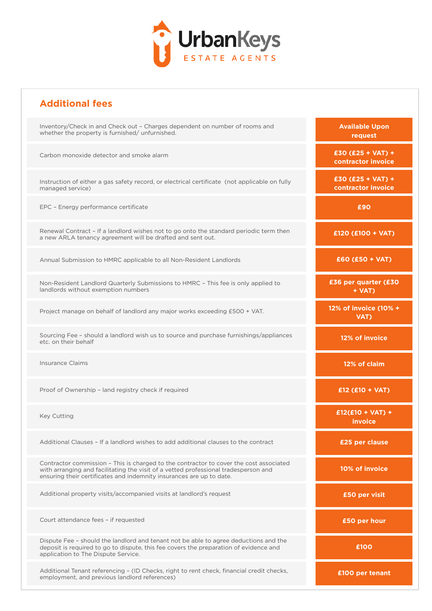

## **Additional fees**

| Inventory/Check in and Check out - Charges dependent on number of rooms and<br>whether the property is furnished/unfurnished.                                                                                                                         | <b>Available Upon</b><br>request          |
|-------------------------------------------------------------------------------------------------------------------------------------------------------------------------------------------------------------------------------------------------------|-------------------------------------------|
| Carbon monoxide detector and smoke alarm                                                                                                                                                                                                              | $£30 (£25 + VAT) +$<br>contractor invoice |
| Instruction of either a gas safety record, or electrical certificate (not applicable on fully<br>managed service)                                                                                                                                     | $£30 (£25 + VAT) +$<br>contractor invoice |
| EPC - Energy performance certificate                                                                                                                                                                                                                  | £90                                       |
| Renewal Contract - If a landlord wishes not to go onto the standard periodic term then<br>a new ARLA tenancy agreement will be drafted and sent out.                                                                                                  | £120 (£100 + VAT)                         |
| Annual Submission to HMRC applicable to all Non-Resident Landlords                                                                                                                                                                                    | $£60 (£50 + VAT)$                         |
| Non-Resident Landlord Quarterly Submissions to HMRC - This fee is only applied to<br>landlords without exemption numbers                                                                                                                              | £36 per quarter (£30<br>+ VAT)            |
| Project manage on behalf of landlord any major works exceeding £500 + VAT.                                                                                                                                                                            | 12% of invoice (10% +<br>VAT)             |
| Sourcing Fee - should a landlord wish us to source and purchase furnishings/appliances<br>etc. on their behalf                                                                                                                                        | 12% of invoice                            |
| <b>Insurance Claims</b>                                                                                                                                                                                                                               | 12% of claim                              |
| Proof of Ownership - land registry check if required                                                                                                                                                                                                  | $£12$ (£10 + VAT)                         |
| <b>Key Cutting</b>                                                                                                                                                                                                                                    | $£12(E10 + VAT) +$<br>invoice             |
| Additional Clauses - If a landlord wishes to add additional clauses to the contract                                                                                                                                                                   | £25 per clause                            |
| Contractor commission - This is charged to the contractor to cover the cost associated<br>with arranging and facilitating the visit of a vetted professional tradesperson and<br>ensuring their certificates and indemnity insurances are up to date. | 10% of invoice                            |
| Additional property visits/accompanied visits at landlord's request                                                                                                                                                                                   | £50 per visit                             |
| Court attendance fees - if requested                                                                                                                                                                                                                  | £50 per hour                              |
| Dispute Fee - should the landlord and tenant not be able to agree deductions and the<br>deposit is required to go to dispute, this fee covers the preparation of evidence and<br>application to The Dispute Service.                                  | £100                                      |
|                                                                                                                                                                                                                                                       |                                           |

Additional Tenant referencing – (ID Checks, right to rent check, financial credit checks, employment, and previous landlord references)

**£100 per tenant**